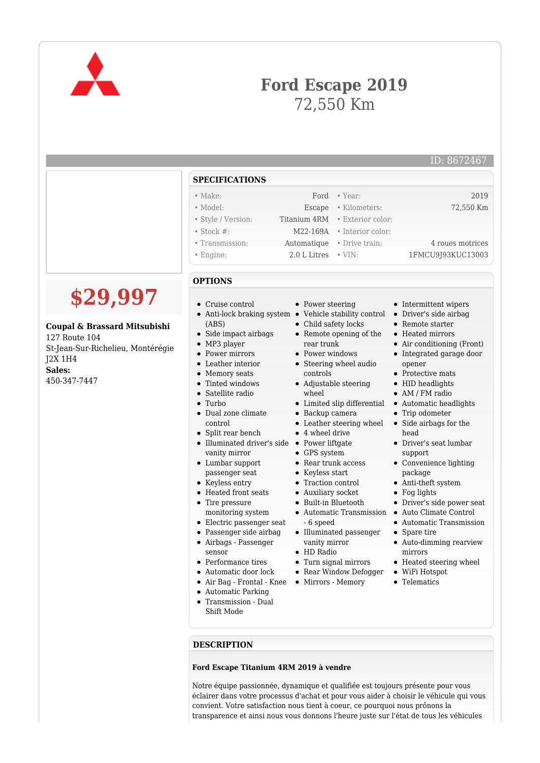

## **Ford Escape 2019** 72,550 Km

ID: 8672467

|                   | <b>SPECIFICATIONS</b>                                         |                                                                                                           |                                                                  |
|-------------------|---------------------------------------------------------------|-----------------------------------------------------------------------------------------------------------|------------------------------------------------------------------|
|                   | $\bullet$ Make:                                               | $\bullet$ Year:<br>Ford                                                                                   | 2019                                                             |
|                   | • Model:                                                      | · Kilometers:<br>Escape                                                                                   | 72,550 Km                                                        |
|                   | • Style / Version:                                            | Titanium 4RM<br>• Exterior color:                                                                         |                                                                  |
|                   | $\bullet$ Stock #:                                            | • Interior color:<br>M22-169A                                                                             |                                                                  |
|                   | • Transmission:                                               | • Drive train:<br>Automatique                                                                             | 4 roues motrices                                                 |
|                   | • Engine:                                                     | 2.0 L Litres<br>$\cdot$ VIN:                                                                              | 1FMCU9J93KUC13003                                                |
|                   | <b>OPTIONS</b>                                                |                                                                                                           |                                                                  |
| ,997              | • Cruise control                                              | • Power steering                                                                                          | • Intermittent wipers                                            |
| sard Mitsubishi   | (ABS)<br>• Side impact airbags                                | • Anti-lock braking system • Vehicle stability control<br>• Child safety locks<br>• Remote opening of the | • Driver's side airbag<br>• Remote starter<br>• Heated mirrors   |
| elieu, Montérégie | $\bullet$ MP3 player<br>• Power mirrors<br>• Leather interior | rear trunk<br>• Power windows<br>• Steering wheel audio                                                   | • Air conditioning (Front)<br>• Integrated garage door<br>opener |
|                   | • Memory seats                                                | controls                                                                                                  | • Protective mats                                                |
|                   | • Tinted windows                                              | • Adjustable steering                                                                                     | • HID headlights                                                 |
|                   | • Satellite radio                                             | wheel                                                                                                     | • AM / FM radio                                                  |
|                   | $\bullet$ Turbo                                               | • Limited slip differential                                                                               | • Automatic headlights                                           |
|                   | • Dual zone climate                                           | • Backup camera                                                                                           | • Trip odometer                                                  |
|                   | control                                                       | • Leather steering wheel                                                                                  | • Side airbags for the                                           |
|                   | • Split rear bench                                            | $\bullet$ 4 wheel drive                                                                                   | head                                                             |
|                   |                                                               | • Illuminated driver's side • Power liftgate                                                              | • Driver's seat lumbar                                           |
|                   | vanity mirror                                                 | • GPS system                                                                                              | support                                                          |
|                   | $\bullet$ Lumbar support                                      | • Rear trunk access                                                                                       | • Convenience lighting                                           |
|                   | passenger seat                                                | • Keyless start                                                                                           | package                                                          |
|                   | • Keyless entry<br>• Heated front seats                       | • Traction control                                                                                        | • Anti-theft system                                              |
|                   |                                                               | • Auxiliary socket<br>• Built-in Bluetooth                                                                | $\bullet$ Fog lights<br>• Driver's side power seat               |
|                   | • Tire pressure<br>monitoring system                          | • Automatic Transmission                                                                                  | • Auto Climate Control                                           |
|                   | • Electric passenger seat                                     | - 6 speed                                                                                                 | • Automatic Transmission                                         |
|                   | • Passenger side airbag                                       | • Illuminated passenger                                                                                   | • Spare tire                                                     |
|                   | • Airbags - Passenger                                         | vanity mirror                                                                                             | • Auto-dimming rearview                                          |
|                   |                                                               | $IIDR = di$                                                                                               |                                                                  |

- sensor
- Performance tires
- 
- 
- Automatic Parking
- Transmission Dual Shift Mode
- HD Radio
- Turn signal mirrors
- Automatic door lock Rear Window Defogger WiFi Hotspot
- Air Bag Frontal Knee Mirrors Memory
- mirrors
- Heated steering wheel
	-
- Telematics

**DESCRIPTION**

## **Ford Escape Titanium 4RM 2019 à vendre**

Notre équipe passionnée, dynamique et qualifiée est toujours présente pour vous éclairer dans votre processus d'achat et pour vous aider à choisir le véhicule qui vous convient. Votre satisfaction nous tient à coeur, ce pourquoi nous prônons la transparence et ainsi nous vous donnons l'heure juste sur l'état de tous les véhicules

**\$29,997**

## **Coupal & Brass**

127 Route 104 St-Jean-Sur-Rich J2X 1H4 **Sales:** 450-347-7447